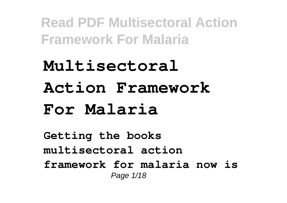## **Multisectoral Action Framework For Malaria**

**Getting the books multisectoral action framework for malaria now is** Page 1/18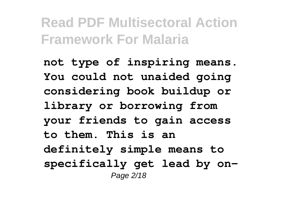**not type of inspiring means. You could not unaided going considering book buildup or library or borrowing from your friends to gain access to them. This is an definitely simple means to specifically get lead by on-**Page 2/18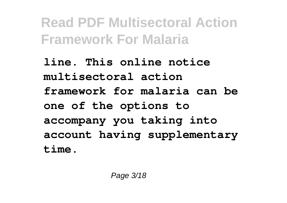**line. This online notice multisectoral action framework for malaria can be one of the options to accompany you taking into account having supplementary time.**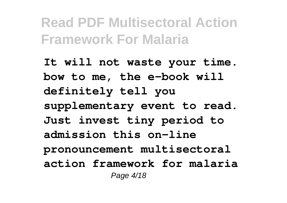**It will not waste your time. bow to me, the e-book will definitely tell you supplementary event to read. Just invest tiny period to admission this on-line pronouncement multisectoral action framework for malaria** Page 4/18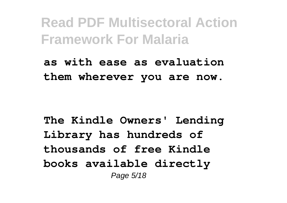**as with ease as evaluation them wherever you are now.**

**The Kindle Owners' Lending Library has hundreds of thousands of free Kindle books available directly** Page 5/18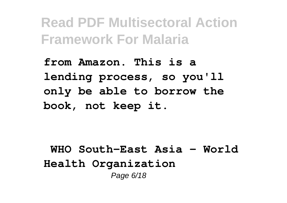**from Amazon. This is a lending process, so you'll only be able to borrow the book, not keep it.**

**WHO South-East Asia - World Health Organization** Page 6/18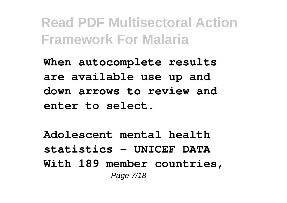**When autocomplete results are available use up and down arrows to review and enter to select.**

**Adolescent mental health statistics - UNICEF DATA With 189 member countries,** Page 7/18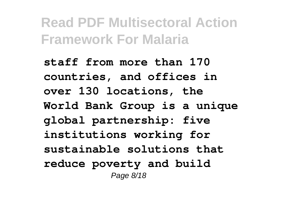**staff from more than 170 countries, and offices in over 130 locations, the World Bank Group is a unique global partnership: five institutions working for sustainable solutions that reduce poverty and build** Page 8/18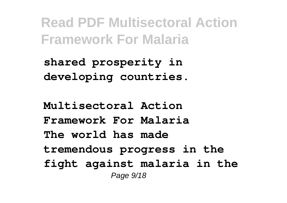**shared prosperity in developing countries.**

**Multisectoral Action Framework For Malaria The world has made tremendous progress in the fight against malaria in the** Page 9/18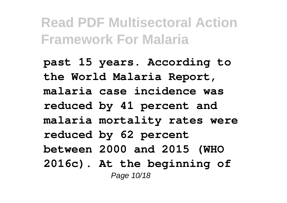**past 15 years. According to the World Malaria Report, malaria case incidence was reduced by 41 percent and malaria mortality rates were reduced by 62 percent between 2000 and 2015 (WHO 2016c). At the beginning of** Page 10/18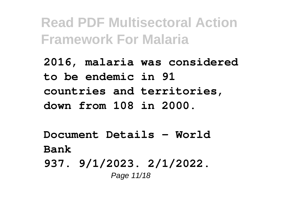**2016, malaria was considered to be endemic in 91 countries and territories, down from 108 in 2000.**

**Document Details - World Bank**

**937. 9/1/2023. 2/1/2022.** Page 11/18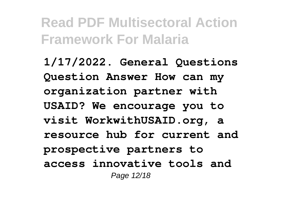**1/17/2022. General Questions Question Answer How can my organization partner with USAID? We encourage you to visit WorkwithUSAID.org, a resource hub for current and prospective partners to access innovative tools and** Page 12/18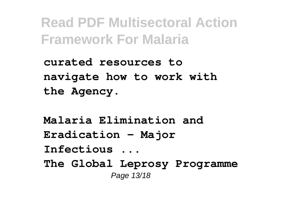**curated resources to navigate how to work with the Agency.**

**Malaria Elimination and Eradication - Major Infectious ... The Global Leprosy Programme** Page 13/18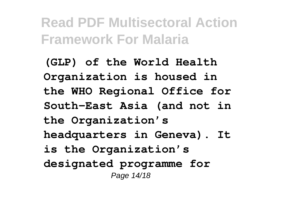**(GLP) of the World Health Organization is housed in the WHO Regional Office for South-East Asia (and not in the Organization's headquarters in Geneva). It is the Organization's designated programme for** Page 14/18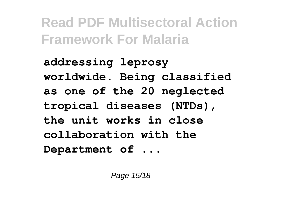**addressing leprosy worldwide. Being classified as one of the 20 neglected tropical diseases (NTDs), the unit works in close collaboration with the Department of ...**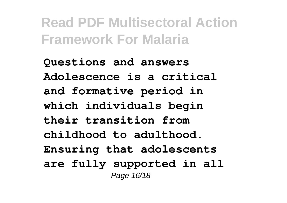**Questions and answers Adolescence is a critical and formative period in which individuals begin their transition from childhood to adulthood. Ensuring that adolescents are fully supported in all** Page 16/18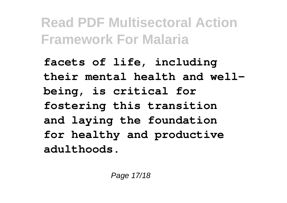**facets of life, including their mental health and wellbeing, is critical for fostering this transition and laying the foundation for healthy and productive adulthoods.**